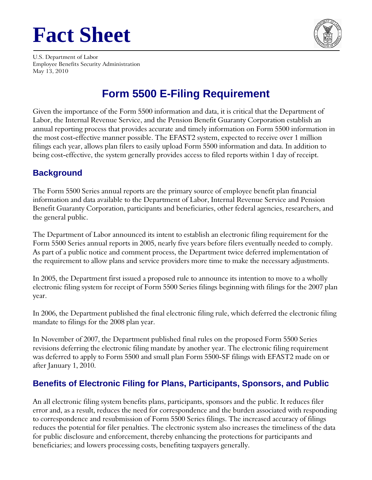# **Fact Sheet**



U.S. Department of Labor Employee Benefits Security Administration May 13, 2010

# **Form 5500 E-Filing Requirement**

Given the importance of the Form 5500 information and data, it is critical that the Department of Labor, the Internal Revenue Service, and the Pension Benefit Guaranty Corporation establish an annual reporting process that provides accurate and timely information on Form 5500 information in the most cost-effective manner possible. The EFAST2 system, expected to receive over 1 million filings each year, allows plan filers to easily upload Form 5500 information and data. In addition to being cost-effective, the system generally provides access to filed reports within 1 day of receipt.

### **Background**

The Form 5500 Series annual reports are the primary source of employee benefit plan financial information and data available to the Department of Labor, Internal Revenue Service and Pension Benefit Guaranty Corporation, participants and beneficiaries, other federal agencies, researchers, and the general public.

The Department of Labor announced its intent to establish an electronic filing requirement for the Form 5500 Series annual reports in 2005, nearly five years before filers eventually needed to comply. As part of a public notice and comment process, the Department twice deferred implementation of the requirement to allow plans and service providers more time to make the necessary adjustments.

In 2005, the Department first issued a proposed rule to announce its intention to move to a wholly electronic filing system for receipt of Form 5500 Series filings beginning with filings for the 2007 plan year.

In 2006, the Department published the final electronic filing rule, which deferred the electronic filing mandate to filings for the 2008 plan year.

In November of 2007, the Department published final rules on the proposed Form 5500 Series revisions deferring the electronic filing mandate by another year. The electronic filing requirement was deferred to apply to Form 5500 and small plan Form 5500-SF filings with EFAST2 made on or after January 1, 2010.

# **Benefits of Electronic Filing for Plans, Participants, Sponsors, and Public**

An all electronic filing system benefits plans, participants, sponsors and the public. It reduces filer error and, as a result, reduces the need for correspondence and the burden associated with responding to correspondence and resubmission of Form 5500 Series filings. The increased accuracy of filings reduces the potential for filer penalties. The electronic system also increases the timeliness of the data for public disclosure and enforcement, thereby enhancing the protections for participants and beneficiaries; and lowers processing costs, benefiting taxpayers generally.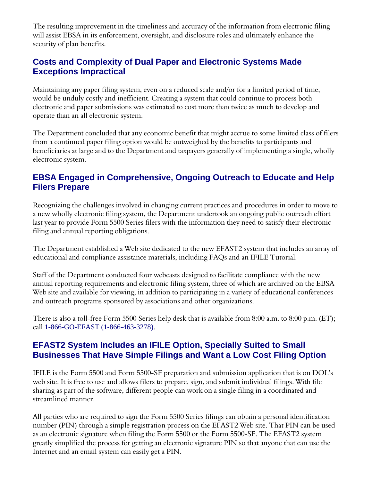The resulting improvement in the timeliness and accuracy of the information from electronic filing will assist EBSA in its enforcement, oversight, and disclosure roles and ultimately enhance the security of plan benefits.

#### **Costs and Complexity of Dual Paper and Electronic Systems Made Exceptions Impractical**

Maintaining any paper filing system, even on a reduced scale and/or for a limited period of time, would be unduly costly and inefficient. Creating a system that could continue to process both electronic and paper submissions was estimated to cost more than twice as much to develop and operate than an all electronic system.

The Department concluded that any economic benefit that might accrue to some limited class of filers from a continued paper filing option would be outweighed by the benefits to participants and beneficiaries at large and to the Department and taxpayers generally of implementing a single, wholly electronic system.

#### **EBSA Engaged in Comprehensive, Ongoing Outreach to Educate and Help Filers Prepare**

Recognizing the challenges involved in changing current practices and procedures in order to move to a new wholly electronic filing system, the Department undertook an ongoing public outreach effort last year to provide Form 5500 Series filers with the information they need to satisfy their electronic filing and annual reporting obligations.

The Department established a Web site dedicated to the new EFAST2 system that includes an array of educational and compliance assistance materials, including FAQs and an IFILE Tutorial.

Staff of the Department conducted four webcasts designed to facilitate compliance with the new annual reporting requirements and electronic filing system, three of which are archived on the EBSA Web site and available for viewing, in addition to participating in a variety of educational conferences and outreach programs sponsored by associations and other organizations.

There is also a toll-free Form 5500 Series help desk that is available from 8:00 a.m. to 8:00 p.m. (ET); call 1-866-GO-EFAST (1-866-463-3278).

#### **EFAST2 System Includes an IFILE Option, Specially Suited to Small Businesses That Have Simple Filings and Want a Low Cost Filing Option**

IFILE is the Form 5500 and Form 5500-SF preparation and submission application that is on DOL's web site. It is free to use and allows filers to prepare, sign, and submit individual filings. With file sharing as part of the software, different people can work on a single filing in a coordinated and streamlined manner.

All parties who are required to sign the Form 5500 Series filings can obtain a personal identification number (PIN) through a simple registration process on the EFAST2 Web site. That PIN can be used as an electronic signature when filing the Form 5500 or the Form 5500-SF. The EFAST2 system greatly simplified the process for getting an electronic signature PIN so that anyone that can use the Internet and an email system can easily get a PIN.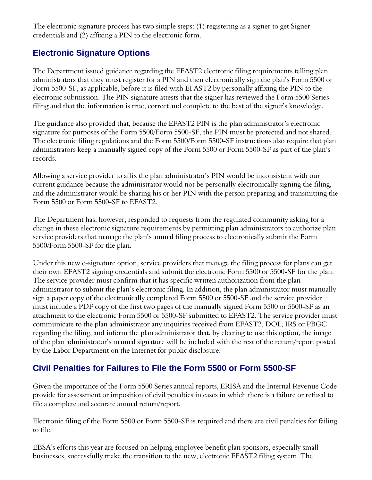The electronic signature process has two simple steps: (1) registering as a signer to get Signer credentials and (2) affixing a PIN to the electronic form.

## **Electronic Signature Options**

The Department issued guidance regarding the EFAST2 electronic filing requirements telling plan administrators that they must register for a PIN and then electronically sign the plan's Form 5500 or Form 5500-SF, as applicable, before it is filed with EFAST2 by personally affixing the PIN to the electronic submission. The PIN signature attests that the signer has reviewed the Form 5500 Series filing and that the information is true, correct and complete to the best of the signer's knowledge.

The guidance also provided that, because the EFAST2 PIN is the plan administrator's electronic signature for purposes of the Form 5500/Form 5500-SF, the PIN must be protected and not shared. The electronic filing regulations and the Form 5500/Form 5500-SF instructions also require that plan administrators keep a manually signed copy of the Form 5500 or Form 5500-SF as part of the plan's records.

Allowing a service provider to affix the plan administrator's PIN would be inconsistent with our current guidance because the administrator would not be personally electronically signing the filing, and the administrator would be sharing his or her PIN with the person preparing and transmitting the Form 5500 or Form 5500-SF to EFAST2.

The Department has, however, responded to requests from the regulated community asking for a change in these electronic signature requirements by permitting plan administrators to authorize plan service providers that manage the plan's annual filing process to electronically submit the Form 5500/Form 5500-SF for the plan.

Under this new e-signature option, service providers that manage the filing process for plans can get their own EFAST2 signing credentials and submit the electronic Form 5500 or 5500-SF for the plan. The service provider must confirm that it has specific written authorization from the plan administrator to submit the plan's electronic filing. In addition, the plan administrator must manually sign a paper copy of the electronically completed Form 5500 or 5500-SF and the service provider must include a PDF copy of the first two pages of the manually signed Form 5500 or 5500-SF as an attachment to the electronic Form 5500 or 5500-SF submitted to EFAST2. The service provider must communicate to the plan administrator any inquiries received from EFAST2, DOL, IRS or PBGC regarding the filing, and inform the plan administrator that, by electing to use this option, the image of the plan administrator's manual signature will be included with the rest of the return/report posted by the Labor Department on the Internet for public disclosure.

#### **Civil Penalties for Failures to File the Form 5500 or Form 5500-SF**

Given the importance of the Form 5500 Series annual reports, ERISA and the Internal Revenue Code provide for assessment or imposition of civil penalties in cases in which there is a failure or refusal to file a complete and accurate annual return/report.

Electronic filing of the Form 5500 or Form 5500-SF is required and there are civil penalties for failing to file.

EBSA's efforts this year are focused on helping employee benefit plan sponsors, especially small businesses, successfully make the transition to the new, electronic EFAST2 filing system. The